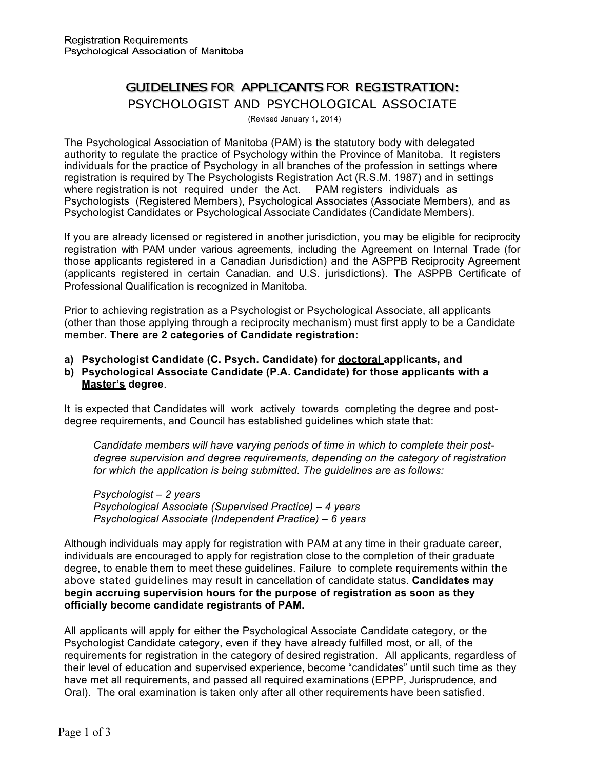# GUIDELINES FOR APPLICANTS FOR REGISTRATION: PSYCHOLOGIST AND PSYCHOLOGICAL ASSOCIATE

(Revised January 1, 2014)

The Psychological Association of Manitoba (PAM) is the statutory body with delegated authority to regulate the practice of Psychology within the Province of Manitoba. It registers individuals for the practice of Psychology in all branches of the profession in settings where registration is required by The Psychologists Registration Act (R.S.M. 1987) and in settings where registration is not required under the Act. PAM registers individuals as Psychologists (Registered Members), Psychological Associates (Associate Members), and as Psychologist Candidates or Psychological Associate Candidates (Candidate Members).

If you are already licensed or registered in another jurisdiction, you may be eligible for reciprocity registration with PAM under various agreements, including the Agreement on Internal Trade (for those applicants registered in a Canadian Jurisdiction) and the ASPPB Reciprocity Agreement (applicants registered in certain Canadian. and U.S. jurisdictions). The ASPPB Certificate of Professional Qualification is recognized in Manitoba.

Prior to achieving registration as a Psychologist or Psychological Associate, all applicants (other than those applying through a reciprocity mechanism) must first apply to be a Candidate member. **There are 2 categories of Candidate registration:**

**a) Psychologist Candidate (C. Psych. Candidate) for doctoral applicants, and**

## **b) Psychological Associate Candidate (P.A. Candidate) for those applicants with a Master's degree**.

It is expected that Candidates will work actively towards completing the degree and postdegree requirements, and Council has established guidelines which state that:

*Candidate members will have varying periods of time in which to complete their postdegree supervision and degree requirements, depending on the category of registration for which the application is being submitted. The guidelines are as follows:*

*Psychologist – 2 years Psychological Associate (Supervised Practice) – 4 years Psychological Associate (Independent Practice) – 6 years*

Although individuals may apply for registration with PAM at any time in their graduate career, individuals are encouraged to apply for registration close to the completion of their graduate degree, to enable them to meet these guidelines. Failure to complete requirements within the above stated guidelines may result in cancellation of candidate status. **Candidates may begin accruing supervision hours for the purpose of registration as soon as they officially become candidate registrants of PAM.**

All applicants will apply for either the Psychological Associate Candidate category, or the Psychologist Candidate category, even if they have already fulfilled most, or all, of the requirements for registration in the category of desired registration. All applicants, regardless of their level of education and supervised experience, become "candidates" until such time as they have met all requirements, and passed all required examinations (EPPP, Jurisprudence, and Oral). The oral examination is taken only after all other requirements have been satisfied.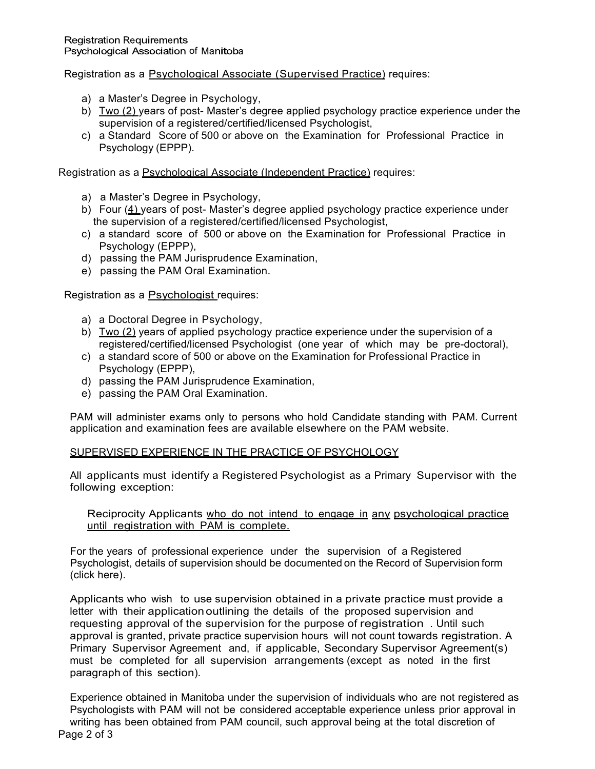Registration as a Psychological Associate (Supervised Practice) requires:

- a) a Master's Degree in Psychology,
- b) Two (2) years of post- Master's degree applied psychology practice experience under the supervision of a registered/certified/licensed Psychologist,
- c) a Standard Score of 500 or above on the Examination for Professional Practice in Psychology (EPPP).

Registration as a Psychological Associate (Independent Practice) requires:

- a) a Master's Degree in Psychology,
- b) Four (4) years of post- Master's degree applied psychology practice experience under the supervision of a registered/certified/licensed Psychologist,
- c) a standard score of 500 or above on the Examination for Professional Practice in Psychology (EPPP),
- d) passing the PAM Jurisprudence Examination,
- e) passing the PAM Oral Examination.

Registration as a Psychologist requires:

- a) a Doctoral Degree in Psychology,
- b) Two (2) years of applied psychology practice experience under the supervision of a registered/certified/licensed Psychologist (one year of which may be pre-doctoral),
- c) a standard score of 500 or above on the Examination for Professional Practice in Psychology (EPPP),
- d) passing the PAM Jurisprudence Examination,
- e) passing the PAM Oral Examination.

PAM will administer exams only to persons who hold Candidate standing with PAM. Current application and examination fees are available elsewhere on the PAM website.

#### SUPERVISED EXPERIENCE IN THE PRACTICE OF PSYCHOLOGY

All applicants must identify a Registered Psychologist as a Primary Supervisor with the following exception:

#### Reciprocity Applicants who do not intend to engage in any psychological practice until registration with PAM is complete.

For the years of professional experience under the supervision of a Registered Psychologist, details of supervision should be documented on the Record of Supervision form ([click here](https://www.cpmb.ca/documents/Supervision Record Form.pdf)).

Applicants who wish to use supervision obtained in a private practice must provide a letter with their application outlining the details of the proposed supervision and requesting approval of the supervision for the purpose of registration . Until such approval is granted, private practice supervision hours will not count towards registration. A Primary Supervisor Agreement and, if applicable, Secondary Supervisor Agreement(s) must be completed for all supervision arrangements (except as noted in the first paragraph of this section).

Experience obtained in Manitoba under the supervision of individuals who are not registered as Psychologists with PAM will not be considered acceptable experience unless prior approval in writing has been obtained from PAM council, such approval being at the total discretion of Page 2 of 3